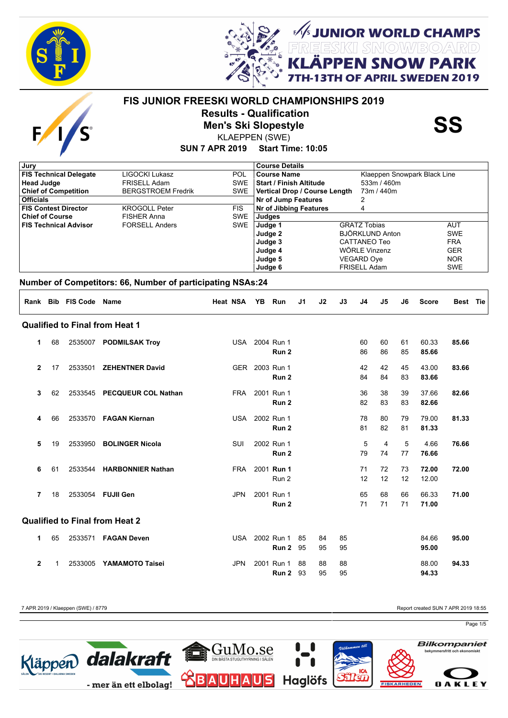



UNIOR WORLD CHAMPS<br>ESKI SMOW/BOARD **SNOW PARK** 

**APRIL SWEDEN 2019** 



# **FIS JUNIOR FREESKI WORLD CHAMPIONSHIPS 2019 Results - Qualification<br>
Men's Ski Slopestyle<br>
KLAEPPEN (SWE)**

KLAEPPEN (SWE)

**SUN 7 APR 2019 Start Time: 10:05**

| <b>Course Details</b>                             |
|---------------------------------------------------|
| Klaeppen Snowpark Black Line<br>Course Name       |
| 533m / 460m<br><b>Start / Finish Altitude</b>     |
| SWE   Vertical Drop / Course Length<br>73m / 440m |
| Nr of Jump Features                               |
| <b>Nr of Jibbing Features</b><br>4                |
| Judges                                            |
| <b>GRATZ Tobias</b><br>Judge 1<br>AUT             |
| BJÖRKLUND Anton<br>Judge 2<br><b>SWE</b>          |
| <b>FRA</b><br>Judge 3<br>CATTANEO Teo             |
| WÖRLE Vinzenz<br><b>GER</b><br>Judge 4            |
| <b>NOR</b><br>Judge 5<br><b>VEGARD Ove</b>        |
| <b>FRISELL Adam</b><br>Judge 6<br><b>SWE</b>      |
| POL.<br><b>SWE</b><br>SWE<br><b>SWE</b>           |

### **Number of Competitors: 66, Number of participating NSAs:24**

| Rank           |    | <b>Bib FIS Code</b> | <b>Name</b>                           | <b>Heat NSA</b> | YB | Run                            | J <sub>1</sub> | J2       | J3       | J <sub>4</sub> | J5       | J6       | <b>Score</b>   | Best Tie |
|----------------|----|---------------------|---------------------------------------|-----------------|----|--------------------------------|----------------|----------|----------|----------------|----------|----------|----------------|----------|
|                |    |                     | <b>Qualified to Final from Heat 1</b> |                 |    |                                |                |          |          |                |          |          |                |          |
| 1              | 68 | 2535007             | <b>PODMILSAK Troy</b>                 | USA             |    | 2004 Run 1<br>Run <sub>2</sub> |                |          |          | 60<br>86       | 60<br>86 | 61<br>85 | 60.33<br>85.66 | 85.66    |
| $\overline{2}$ | 17 | 2533501             | <b>ZEHENTNER David</b>                | <b>GER</b>      |    | 2003 Run 1<br>Run <sub>2</sub> |                |          |          | 42<br>84       | 42<br>84 | 45<br>83 | 43.00<br>83.66 | 83.66    |
| 3              | 62 | 2533545             | <b>PECQUEUR COL Nathan</b>            | <b>FRA</b>      |    | 2001 Run 1<br>Run <sub>2</sub> |                |          |          | 36<br>82       | 38<br>83 | 39<br>83 | 37.66<br>82.66 | 82.66    |
| 4              | 66 |                     | 2533570 FAGAN Kiernan                 | USA             |    | 2002 Run 1<br>Run <sub>2</sub> |                |          |          | 78<br>81       | 80<br>82 | 79<br>81 | 79.00<br>81.33 | 81.33    |
| 5              | 19 | 2533950             | <b>BOLINGER Nicola</b>                | SUI             |    | 2002 Run 1<br>Run 2            |                |          |          | 5<br>79        | 4<br>74  | 5<br>77  | 4.66<br>76.66  | 76.66    |
| 6              | 61 | 2533544             | <b>HARBONNIER Nathan</b>              | <b>FRA</b>      |    | 2001 Run 1<br>Run 2            |                |          |          | 71<br>12       | 72<br>12 | 73<br>12 | 72.00<br>12.00 | 72.00    |
| 7              | 18 |                     | 2533054 FUJII Gen                     | <b>JPN</b>      |    | 2001 Run 1<br>Run <sub>2</sub> |                |          |          | 65<br>71       | 68<br>71 | 66<br>71 | 66.33<br>71.00 | 71.00    |
|                |    |                     | <b>Qualified to Final from Heat 2</b> |                 |    |                                |                |          |          |                |          |          |                |          |
| 1              | 65 | 2533571             | <b>FAGAN Deven</b>                    | USA             |    | 2002 Run 1<br>Run 2            | 85<br>95       | 84<br>95 | 85<br>95 |                |          |          | 84.66<br>95.00 | 95.00    |
| $\overline{2}$ |    | 2533005             | <b>YAMAMOTO Taisei</b>                | <b>JPN</b>      |    | 2001 Run 1<br>Run 2            | 88<br>93       | 88<br>95 | 88<br>95 |                |          |          | 88.00<br>94.33 | 94.33    |

7 APR 2019 / Klaeppen (SWE) / 8779 Report created SUN 7 APR 2019 18:55

Page 1/5

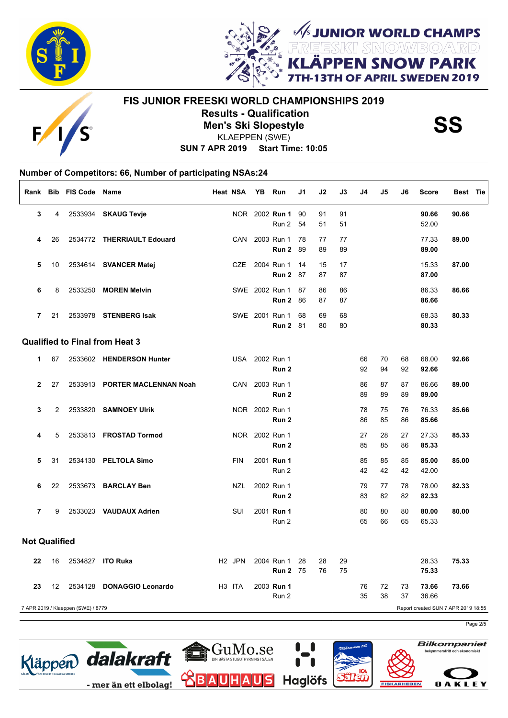



E

# **FIS JUNIOR FREESKI WORLD CHAMPIONSHIPS 2019 Results - Qualification<br>
Men's Ski Slopestyle<br>
KLAEPPEN (SWE)**

**JUNIOR WORLD CHAMPS<br>EESKII SMOW/BO/ARD** 

**I SNOW PARK FAPRIL SWEDEN 2019** 

**SUN 7 APR 2019 Start Time: 10:05** KLAEPPEN (SWE)

### **Number of Competitors: 66, Number of participating NSAs:24**  $\sqrt{ }$

|                      |    | Rank Bib FIS Code Name             |                                       | Heat NSA           | YB Run                            | J1       | J2       | J3       | J4       | J5       | J6       | <b>Score</b>   | Best Tie                            |
|----------------------|----|------------------------------------|---------------------------------------|--------------------|-----------------------------------|----------|----------|----------|----------|----------|----------|----------------|-------------------------------------|
| 3                    | 4  |                                    | 2533934 SKAUG Tevje                   |                    | NOR 2002 Run 1<br>Run 2           | 90<br>54 | 91<br>51 | 91<br>51 |          |          |          | 90.66<br>52.00 | 90.66                               |
| 4                    | 26 |                                    | 2534772 THERRIAULT Edouard            | CAN                | 2003 Run 1<br>Run 2               | 78<br>89 | 77<br>89 | 77<br>89 |          |          |          | 77.33<br>89.00 | 89.00                               |
| 5                    | 10 |                                    | 2534614 SVANCER Matej                 | <b>CZE</b>         | 2004 Run 1<br>Run 2               | 14<br>87 | 15<br>87 | 17<br>87 |          |          |          | 15.33<br>87.00 | 87.00                               |
| 6                    | 8  |                                    | 2533250 MOREN Melvin                  |                    | SWE 2002 Run 1<br>Run 2           | 87<br>86 | 86<br>87 | 86<br>87 |          |          |          | 86.33<br>86.66 | 86.66                               |
| $\overline{7}$       | 21 |                                    | 2533978 STENBERG Isak                 |                    | SWE 2001 Run 1<br><b>Run 2 81</b> | 68       | 69<br>80 | 68<br>80 |          |          |          | 68.33<br>80.33 | 80.33                               |
|                      |    |                                    | <b>Qualified to Final from Heat 3</b> |                    |                                   |          |          |          |          |          |          |                |                                     |
| $\mathbf 1$          | 67 |                                    | 2533602 HENDERSON Hunter              |                    | USA 2002 Run 1<br>Run 2           |          |          |          | 66<br>92 | 70<br>94 | 68<br>92 | 68.00<br>92.66 | 92.66                               |
| $\overline{2}$       | 27 |                                    | 2533913 PORTER MACLENNAN Noah         | CAN                | 2003 Run 1<br>Run 2               |          |          |          | 86<br>89 | 87<br>89 | 87<br>89 | 86.66<br>89.00 | 89.00                               |
| 3                    | 2  | 2533820                            | <b>SAMNOEY Ulrik</b>                  |                    | NOR 2002 Run 1<br>Run 2           |          |          |          | 78<br>86 | 75<br>85 | 76<br>86 | 76.33<br>85.66 | 85.66                               |
| 4                    | 5  |                                    | 2533813 FROSTAD Tormod                |                    | NOR 2002 Run 1<br>Run 2           |          |          |          | 27<br>85 | 28<br>85 | 27<br>86 | 27.33<br>85.33 | 85.33                               |
| 5                    | 31 |                                    | 2534130 PELTOLA Simo                  | <b>FIN</b>         | 2001 Run 1<br>Run 2               |          |          |          | 85<br>42 | 85<br>42 | 85<br>42 | 85.00<br>42.00 | 85.00                               |
| 6                    | 22 |                                    | 2533673 BARCLAY Ben                   | <b>NZL</b>         | 2002 Run 1<br>Run 2               |          |          |          | 79<br>83 | 77<br>82 | 78<br>82 | 78.00<br>82.33 | 82.33                               |
| $\overline{7}$       | 9  |                                    | 2533023 VAUDAUX Adrien                | SUI                | 2001 Run 1<br>Run 2               |          |          |          | 80<br>65 | 80<br>66 | 80<br>65 | 80.00<br>65.33 | 80.00                               |
| <b>Not Qualified</b> |    |                                    |                                       |                    |                                   |          |          |          |          |          |          |                |                                     |
| 22                   | 16 |                                    | 2534827 ITO Ruka                      | H <sub>2</sub> JPN | 2004 Run 1<br><b>Run 2 75</b>     | 28       | 28<br>76 | 29<br>75 |          |          |          | 28.33<br>75.33 | 75.33                               |
| 23                   | 12 | 2534128                            | <b>DONAGGIO Leonardo</b>              | H <sub>3</sub> ITA | 2003 Run 1<br>Run 2               |          |          |          | 76<br>35 | 72<br>38 | 73<br>37 | 73.66<br>36.66 | 73.66                               |
|                      |    | 7 APR 2019 / Klaeppen (SWE) / 8779 |                                       |                    |                                   |          |          |          |          |          |          |                | Report created SUN 7 APR 2019 18:55 |

Page 2/5





**OAKLEY** 

**Bilkompaniet**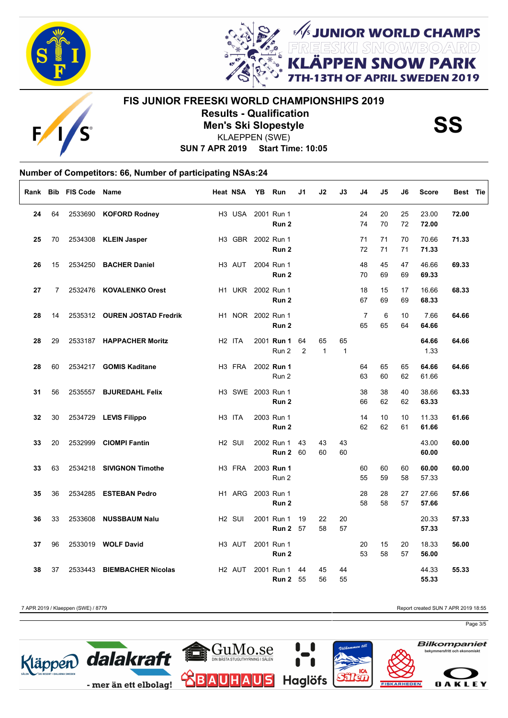



E

# **FIS JUNIOR FREESKI WORLD CHAMPIONSHIPS 2019 Results - Qualification<br>
Men's Ski Slopestyle<br>
KLAEPPEN (SWE)**

*SUNIOR WORLD CHAMPS<br>REESKI SNOWBOARD***<br>LÄPPEN SNOW PARK** 

OF APRIL SWEDEN 2019

**SUN 7 APR 2019 Start Time: 10:05** KLAEPPEN (SWE)

#### **Number of Competitors: 66, Number of participating NSAs:24** Г

| Rank |                | <b>Bib FIS Code Name</b> |                              | <b>Heat NSA</b>    | <b>YB</b> | Run                            | J1      | J2                 | J3                 | J4                   | J5       | J6       | <b>Score</b>   | Best Tie |
|------|----------------|--------------------------|------------------------------|--------------------|-----------|--------------------------------|---------|--------------------|--------------------|----------------------|----------|----------|----------------|----------|
| 24   | 64             |                          | 2533690 KOFORD Rodney        | H3 USA             |           | 2001 Run 1<br>Run 2            |         |                    |                    | 24<br>74             | 20<br>70 | 25<br>72 | 23.00<br>72.00 | 72.00    |
| 25   | 70             |                          | 2534308 KLEIN Jasper         | H3 GBR 2002 Run 1  |           | Run 2                          |         |                    |                    | 71<br>72             | 71<br>71 | 70<br>71 | 70.66<br>71.33 | 71.33    |
| 26   | 15             |                          | 2534250 BACHER Daniel        | H <sub>3</sub> AUT |           | 2004 Run 1<br>Run 2            |         |                    |                    | 48<br>70             | 45<br>69 | 47<br>69 | 46.66<br>69.33 | 69.33    |
| 27   | $\overline{7}$ |                          | 2532476 KOVALENKO Orest      |                    |           | H1 UKR 2002 Run 1<br>Run 2     |         |                    |                    | 18<br>67             | 15<br>69 | 17<br>69 | 16.66<br>68.33 | 68.33    |
| 28   | 14             |                          | 2535312 OUREN JOSTAD Fredrik |                    |           | H1 NOR 2002 Run 1<br>Run 2     |         |                    |                    | $\overline{7}$<br>65 | 6<br>65  | 10<br>64 | 7.66<br>64.66  | 64.66    |
| 28   | 29             |                          | 2533187 HAPPACHER Moritz     | H <sub>2</sub> ITA |           | 2001 Run 1<br>Run 2            | 64<br>2 | 65<br>$\mathbf{1}$ | 65<br>$\mathbf{1}$ |                      |          |          | 64.66<br>1.33  | 64.66    |
| 28   | 60             |                          | 2534217 GOMIS Kaditane       | H3 FRA             |           | 2002 Run 1<br>Run 2            |         |                    |                    | 64<br>63             | 65<br>60 | 65<br>62 | 64.66<br>61.66 | 64.66    |
| 31   | 56             |                          | 2535557 BJUREDAHL Felix      | H3 SWE 2003 Run 1  |           | Run 2                          |         |                    |                    | 38<br>66             | 38<br>62 | 40<br>62 | 38.66<br>63.33 | 63.33    |
| 32   | 30             |                          | 2534729 LEVIS Filippo        | H <sub>3</sub> ITA |           | 2003 Run 1<br>Run 2            |         |                    |                    | 14<br>62             | 10<br>62 | 10<br>61 | 11.33<br>61.66 | 61.66    |
| 33   | 20             |                          | 2532999 CIOMPI Fantin        | H <sub>2</sub> SUI |           | 2002 Run 1<br><b>Run 2 60</b>  | 43      | 43<br>60           | 43<br>60           |                      |          |          | 43.00<br>60.00 | 60.00    |
| 33   | 63             |                          | 2534218 SIVIGNON Timothe     | H <sub>3</sub> FRA |           | 2003 Run 1<br>Run 2            |         |                    |                    | 60<br>55             | 60<br>59 | 60<br>58 | 60.00<br>57.33 | 60.00    |
| 35   | 36             |                          | 2534285 ESTEBAN Pedro        | H1 ARG             |           | 2003 Run 1<br>Run <sub>2</sub> |         |                    |                    | 28<br>58             | 28<br>58 | 27<br>57 | 27.66<br>57.66 | 57.66    |
| 36   | 33             |                          | 2533608 NUSSBAUM Nalu        | H <sub>2</sub> SUI |           | 2001 Run 1<br><b>Run 2</b> 57  | 19      | 22<br>58           | 20<br>57           |                      |          |          | 20.33<br>57.33 | 57.33    |
| 37   | 96             |                          | 2533019 WOLF David           | H <sub>3</sub> AUT |           | 2001 Run 1<br>Run 2            |         |                    |                    | 20<br>53             | 15<br>58 | 20<br>57 | 18.33<br>56.00 | 56.00    |
| 38   | 37             | 2533443                  | <b>BIEMBACHER Nicolas</b>    | H <sub>2</sub> AUT |           | 2001 Run 1<br><b>Run 2 55</b>  | 44      | 45<br>56           | 44<br>55           |                      |          |          | 44.33<br>55.33 | 55.33    |

7 APR 2019 / Klaeppen (SWE) / 8779 Report created SUN 7 APR 2019 18:55

Page 3/5



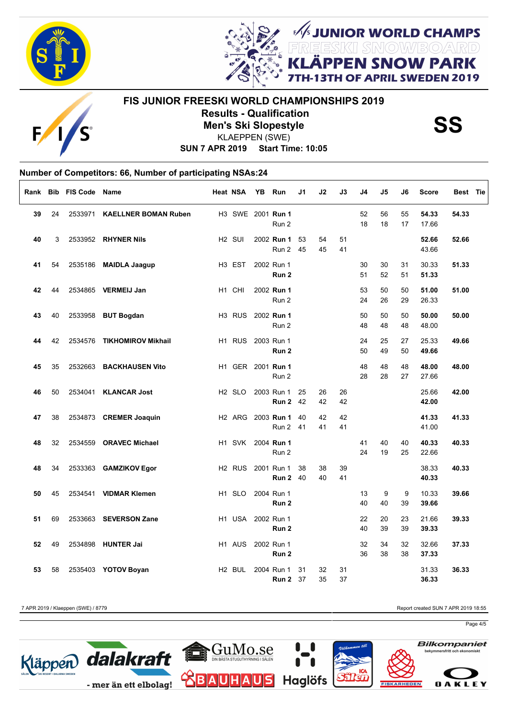



E

# **FIS JUNIOR FREESKI WORLD CHAMPIONSHIPS 2019 Results - Qualification<br>
Men's Ski Slopestyle<br>
KLAEPPEN (SWE)**

*SUNIOR WORLD CHAMPS<br>REESKI SNOWBOARD***<br>LÄPPEN SNOW PARK** 

OF APRIL SWEDEN 2019

**SUN 7 APR 2019 Start Time: 10:05** KLAEPPEN (SWE)

#### **Number of Competitors: 66, Number of participating NSAs:24** Г

|    |    | Rank Bib FIS Code | <b>Name</b>                 | <b>Heat NSA</b>    | YB | Run                            | J1       | J2       | J3       | J4       | J5       | J6       | <b>Score</b>   | Best Tie |
|----|----|-------------------|-----------------------------|--------------------|----|--------------------------------|----------|----------|----------|----------|----------|----------|----------------|----------|
| 39 | 24 | 2533971           | <b>KAELLNER BOMAN Ruben</b> |                    |    | H3 SWE 2001 Run 1<br>Run 2     |          |          |          | 52<br>18 | 56<br>18 | 55<br>17 | 54.33<br>17.66 | 54.33    |
| 40 | 3  |                   | 2533952 RHYNER Nils         | H <sub>2</sub> SUI |    | 2002 Run 1<br>Run 2            | 53<br>45 | 54<br>45 | 51<br>41 |          |          |          | 52.66<br>43.66 | 52.66    |
| 41 | 54 |                   | 2535186 MAIDLA Jaagup       | H <sub>3</sub> EST |    | 2002 Run 1<br>Run <sub>2</sub> |          |          |          | 30<br>51 | 30<br>52 | 31<br>51 | 30.33<br>51.33 | 51.33    |
| 42 | 44 |                   | 2534865 VERMEIJ Jan         | H1 CHI             |    | 2002 Run 1<br>Run 2            |          |          |          | 53<br>24 | 50<br>26 | 50<br>29 | 51.00<br>26.33 | 51.00    |
| 43 | 40 |                   | 2533958 BUT Bogdan          | H <sub>3</sub> RUS |    | 2002 Run 1<br>Run 2            |          |          |          | 50<br>48 | 50<br>48 | 50<br>48 | 50.00<br>48.00 | 50.00    |
| 44 | 42 | 2534576           | <b>TIKHOMIROV Mikhail</b>   | H <sub>1</sub> RUS |    | 2003 Run 1<br>Run 2            |          |          |          | 24<br>50 | 25<br>49 | 27<br>50 | 25.33<br>49.66 | 49.66    |
| 45 | 35 |                   | 2532663 BACKHAUSEN Vito     |                    |    | H1 GER 2001 Run 1<br>Run 2     |          |          |          | 48<br>28 | 48<br>28 | 48<br>27 | 48.00<br>27.66 | 48.00    |
| 46 | 50 | 2534041           | <b>KLANCAR Jost</b>         | H <sub>2</sub> SLO |    | 2003 Run 1<br><b>Run 2</b> 42  | 25       | 26<br>42 | 26<br>42 |          |          |          | 25.66<br>42.00 | 42.00    |
| 47 | 38 |                   | 2534873 CREMER Joaquin      | H <sub>2</sub> ARG |    | 2003 Run 1<br>Run 2            | 40<br>41 | 42<br>41 | 42<br>41 |          |          |          | 41.33<br>41.00 | 41.33    |
| 48 | 32 |                   | 2534559 ORAVEC Michael      | H1 SVK             |    | 2004 Run 1<br>Run 2            |          |          |          | 41<br>24 | 40<br>19 | 40<br>25 | 40.33<br>22.66 | 40.33    |
| 48 | 34 |                   | 2533363 GAMZIKOV Egor       | H <sub>2</sub> RUS |    | 2001 Run 1<br><b>Run 2 40</b>  | 38       | 38<br>40 | 39<br>41 |          |          |          | 38.33<br>40.33 | 40.33    |
| 50 | 45 |                   | 2534541 VIDMAR Klemen       | H <sub>1</sub> SLO |    | 2004 Run 1<br>Run <sub>2</sub> |          |          |          | 13<br>40 | 9<br>40  | 9<br>39  | 10.33<br>39.66 | 39.66    |
| 51 | 69 |                   | 2533663 SEVERSON Zane       | H <sub>1</sub> USA |    | 2002 Run 1<br>Run 2            |          |          |          | 22<br>40 | 20<br>39 | 23<br>39 | 21.66<br>39.33 | 39.33    |
| 52 | 49 |                   | 2534898 HUNTER Jai          | H <sub>1</sub> AUS |    | 2002 Run 1<br>Run <sub>2</sub> |          |          |          | 32<br>36 | 34<br>38 | 32<br>38 | 32.66<br>37.33 | 37.33    |
| 53 | 58 |                   | 2535403 YOTOV Boyan         | H <sub>2</sub> BUL |    | 2004 Run 1<br><b>Run 2</b> 37  | 31       | 32<br>35 | 31<br>37 |          |          |          | 31.33<br>36.33 | 36.33    |

7 APR 2019 / Klaeppen (SWE) / 8779 Report created SUN 7 APR 2019 18:55

Page 4/5